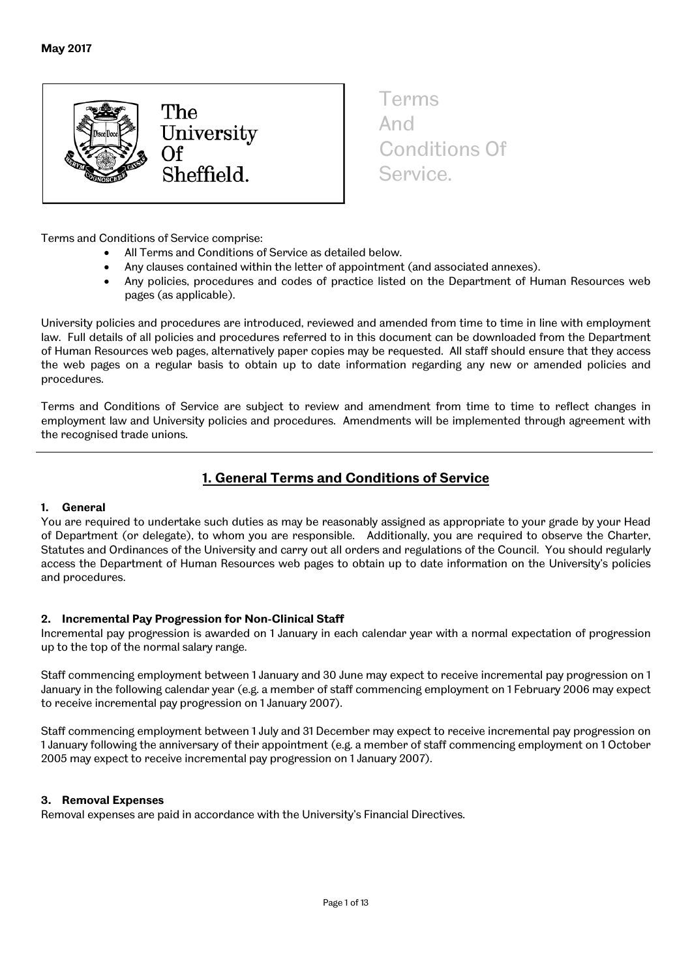

Terms And Conditions Of Service.

Terms and Conditions of Service comprise:

- All Terms and Conditions of Service as detailed below.
- Any clauses contained within the letter of appointment (and associated annexes).
- Any policies, procedures and codes of practice listed on the Department of Human Resources web pages (as applicable).

University policies and procedures are introduced, reviewed and amended from time to time in line with employment law. Full details of all policies and procedures referred to in this document can be downloaded from the Department of Human Resources web pages, alternatively paper copies may be requested. All staff should ensure that they access the web pages on a regular basis to obtain up to date information regarding any new or amended policies and procedures.

Terms and Conditions of Service are subject to review and amendment from time to time to reflect changes in employment law and University policies and procedures. Amendments will be implemented through agreement with the recognised trade unions.

# **1. General Terms and Conditions of Service**

## **1. General**

You are required to undertake such duties as may be reasonably assigned as appropriate to your grade by your Head of Department (or delegate), to whom you are responsible. Additionally, you are required to observe the Charter, Statutes and Ordinances of the University and carry out all orders and regulations of the Council. You should regularly access the Department of Human Resources web pages to obtain up to date information on the University's policies and procedures.

## **2. Incremental Pay Progression for Non-Clinical Staff**

Incremental pay progression is awarded on 1 January in each calendar year with a normal expectation of progression up to the top of the normal salary range.

Staff commencing employment between 1 January and 30 June may expect to receive incremental pay progression on 1 January in the following calendar year (e.g. a member of staff commencing employment on 1 February 2006 may expect to receive incremental pay progression on 1 January 2007).

Staff commencing employment between 1 July and 31 December may expect to receive incremental pay progression on 1 January following the anniversary of their appointment (e.g. a member of staff commencing employment on 1 October 2005 may expect to receive incremental pay progression on 1 January 2007).

## **3. Removal Expenses**

Removal expenses are paid in accordance with the University's Financial Directives.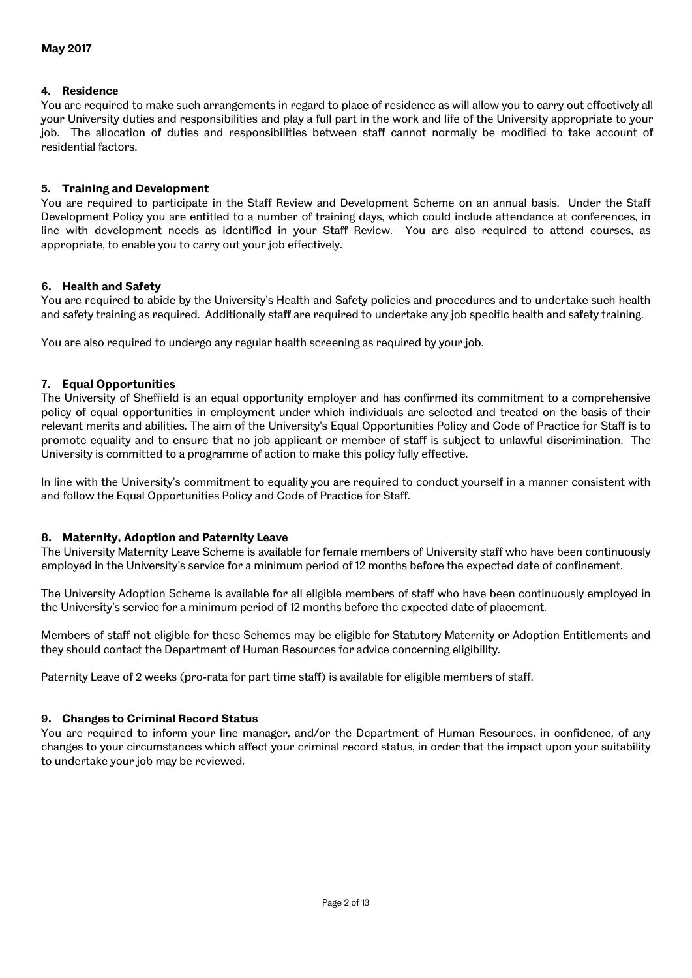## **4. Residence**

You are required to make such arrangements in regard to place of residence as will allow you to carry out effectively all your University duties and responsibilities and play a full part in the work and life of the University appropriate to your job. The allocation of duties and responsibilities between staff cannot normally be modified to take account of residential factors.

## **5. Training and Development**

You are required to participate in the Staff Review and Development Scheme on an annual basis. Under the Staff Development Policy you are entitled to a number of training days, which could include attendance at conferences, in line with development needs as identified in your Staff Review. You are also required to attend courses, as appropriate, to enable you to carry out your job effectively.

## **6. Health and Safety**

You are required to abide by the University's Health and Safety policies and procedures and to undertake such health and safety training as required. Additionally staff are required to undertake any job specific health and safety training.

You are also required to undergo any regular health screening as required by your job.

## **7. Equal Opportunities**

The University of Sheffield is an equal opportunity employer and has confirmed its commitment to a comprehensive policy of equal opportunities in employment under which individuals are selected and treated on the basis of their relevant merits and abilities. The aim of the University's Equal Opportunities Policy and Code of Practice for Staff is to promote equality and to ensure that no job applicant or member of staff is subject to unlawful discrimination. The University is committed to a programme of action to make this policy fully effective.

In line with the University's commitment to equality you are required to conduct yourself in a manner consistent with and follow the Equal Opportunities Policy and Code of Practice for Staff.

#### **8. Maternity, Adoption and Paternity Leave**

The University Maternity Leave Scheme is available for female members of University staff who have been continuously employed in the University's service for a minimum period of 12 months before the expected date of confinement.

The University Adoption Scheme is available for all eligible members of staff who have been continuously employed in the University's service for a minimum period of 12 months before the expected date of placement.

Members of staff not eligible for these Schemes may be eligible for Statutory Maternity or Adoption Entitlements and they should contact the Department of Human Resources for advice concerning eligibility.

Paternity Leave of 2 weeks (pro-rata for part time staff) is available for eligible members of staff.

#### **9. Changes to Criminal Record Status**

You are required to inform your line manager, and/or the Department of Human Resources, in confidence, of any changes to your circumstances which affect your criminal record status, in order that the impact upon your suitability to undertake your job may be reviewed.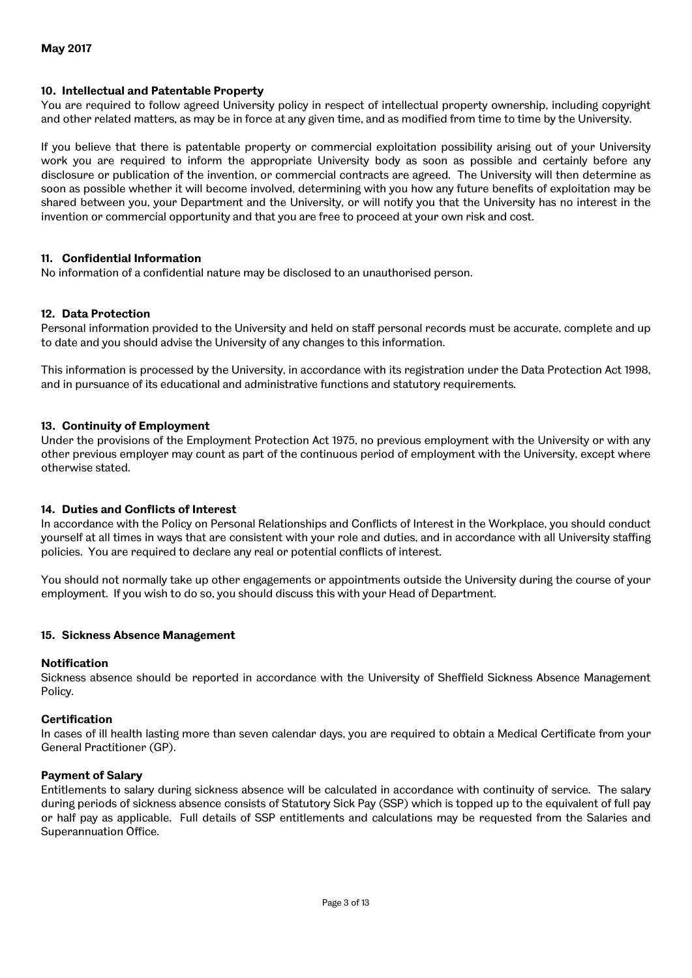## **10. Intellectual and Patentable Property**

You are required to follow agreed University policy in respect of intellectual property ownership, including copyright and other related matters, as may be in force at any given time, and as modified from time to time by the University.

If you believe that there is patentable property or commercial exploitation possibility arising out of your University work you are required to inform the appropriate University body as soon as possible and certainly before any disclosure or publication of the invention, or commercial contracts are agreed. The University will then determine as soon as possible whether it will become involved, determining with you how any future benefits of exploitation may be shared between you, your Department and the University, or will notify you that the University has no interest in the invention or commercial opportunity and that you are free to proceed at your own risk and cost.

## **11. Confidential Information**

No information of a confidential nature may be disclosed to an unauthorised person.

## **12. Data Protection**

Personal information provided to the University and held on staff personal records must be accurate, complete and up to date and you should advise the University of any changes to this information.

This information is processed by the University, in accordance with its registration under the Data Protection Act 1998, and in pursuance of its educational and administrative functions and statutory requirements.

#### **13. Continuity of Employment**

Under the provisions of the Employment Protection Act 1975, no previous employment with the University or with any other previous employer may count as part of the continuous period of employment with the University, except where otherwise stated.

#### **14. Duties and Conflicts of Interest**

In accordance with the Policy on Personal Relationships and Conflicts of Interest in the Workplace, you should conduct yourself at all times in ways that are consistent with your role and duties, and in accordance with all University staffing policies. You are required to declare any real or potential conflicts of interest.

You should not normally take up other engagements or appointments outside the University during the course of your employment. If you wish to do so, you should discuss this with your Head of Department.

#### **15. Sickness Absence Management**

#### **Notification**

Sickness absence should be reported in accordance with the University of Sheffield Sickness Absence Management Policy.

#### **Certification**

In cases of ill health lasting more than seven calendar days, you are required to obtain a Medical Certificate from your General Practitioner (GP).

#### **Payment of Salary**

Entitlements to salary during sickness absence will be calculated in accordance with continuity of service. The salary during periods of sickness absence consists of Statutory Sick Pay (SSP) which is topped up to the equivalent of full pay or half pay as applicable. Full details of SSP entitlements and calculations may be requested from the Salaries and Superannuation Office.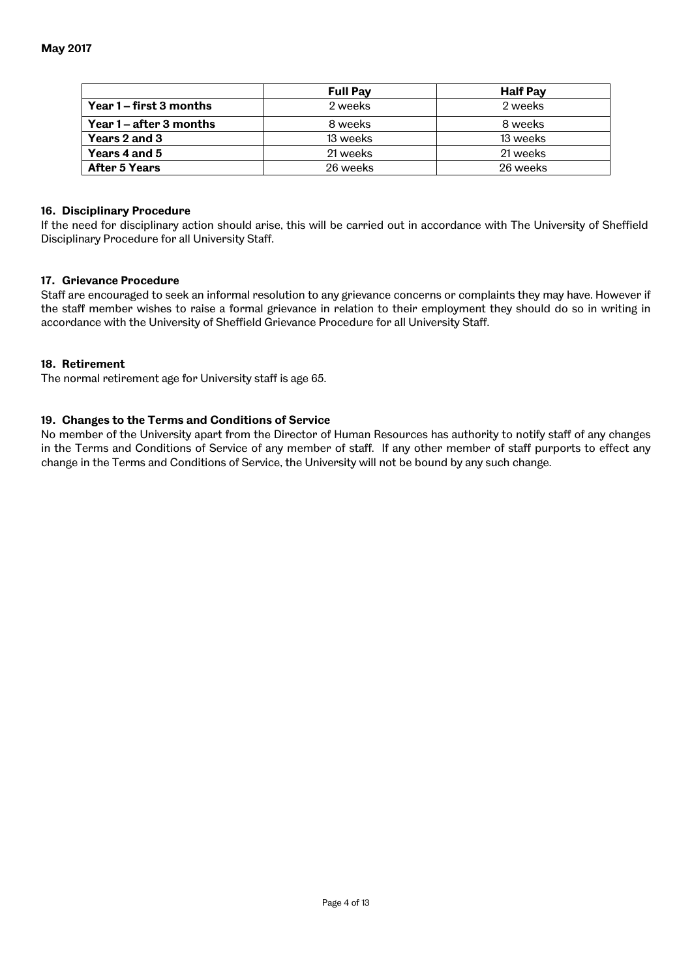|                         | <b>Full Pay</b> | <b>Half Pay</b> |
|-------------------------|-----------------|-----------------|
| Year 1 – first 3 months | 2 weeks         | 2 weeks         |
| Year 1 – after 3 months | 8 weeks         | 8 weeks         |
| Years 2 and 3           | 13 weeks        | 13 weeks        |
| Years 4 and 5           | 21 weeks        | 21 weeks        |
| After 5 Years           | 26 weeks        | 26 weeks        |

## **16. Disciplinary Procedure**

If the need for disciplinary action should arise, this will be carried out in accordance with The University of Sheffield Disciplinary Procedure for all University Staff.

## **17. Grievance Procedure**

Staff are encouraged to seek an informal resolution to any grievance concerns or complaints they may have. However if the staff member wishes to raise a formal grievance in relation to their employment they should do so in writing in accordance with the University of Sheffield Grievance Procedure for all University Staff.

## **18. Retirement**

The normal retirement age for University staff is age 65.

## **19. Changes to the Terms and Conditions of Service**

No member of the University apart from the Director of Human Resources has authority to notify staff of any changes in the Terms and Conditions of Service of any member of staff. If any other member of staff purports to effect any change in the Terms and Conditions of Service, the University will not be bound by any such change.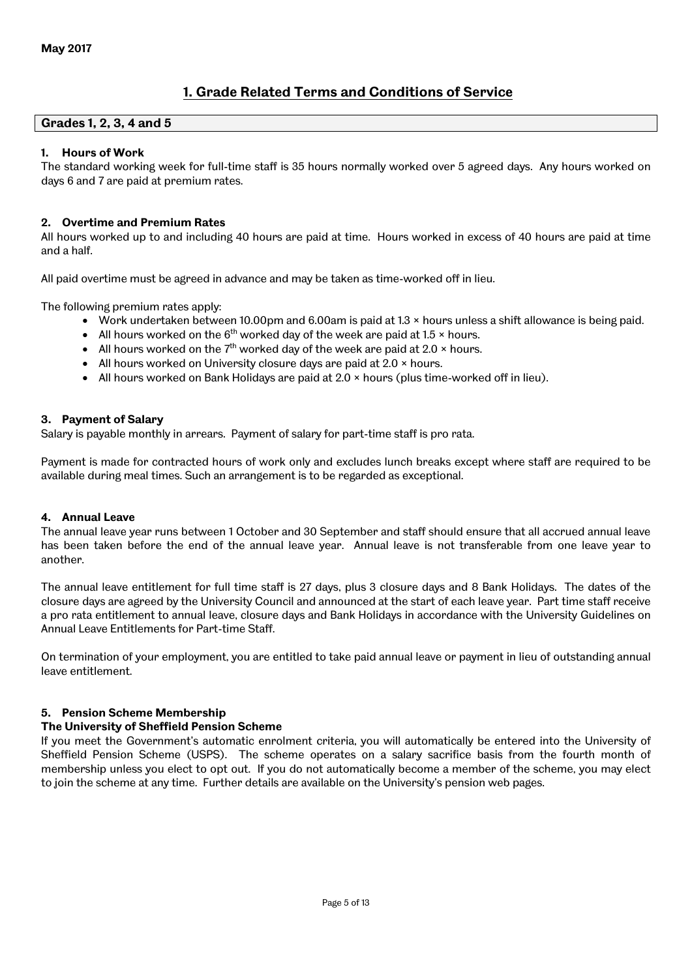# **1. Grade Related Terms and Conditions of Service**

## **Grades 1, 2, 3, 4 and 5**

## **1. Hours of Work**

The standard working week for full-time staff is 35 hours normally worked over 5 agreed days. Any hours worked on days 6 and 7 are paid at premium rates.

## **2. Overtime and Premium Rates**

All hours worked up to and including 40 hours are paid at time. Hours worked in excess of 40 hours are paid at time and a half.

All paid overtime must be agreed in advance and may be taken as time-worked off in lieu.

The following premium rates apply:

- Work undertaken between 10.00pm and 6.00am is paid at 1.3 × hours unless a shift allowance is being paid.
- All hours worked on the  $6<sup>th</sup>$  worked day of the week are paid at 1.5  $\times$  hours.
- All hours worked on the  $7<sup>th</sup>$  worked day of the week are paid at 2.0  $\times$  hours.
- All hours worked on University closure days are paid at  $2.0 \times$  hours.
- $\bullet$  All hours worked on Bank Holidays are paid at 2.0  $\times$  hours (plus time-worked off in lieu).

## **3. Payment of Salary**

Salary is payable monthly in arrears. Payment of salary for part-time staff is pro rata.

Payment is made for contracted hours of work only and excludes lunch breaks except where staff are required to be available during meal times. Such an arrangement is to be regarded as exceptional.

#### **4. Annual Leave**

The annual leave year runs between 1 October and 30 September and staff should ensure that all accrued annual leave has been taken before the end of the annual leave year. Annual leave is not transferable from one leave year to another.

The annual leave entitlement for full time staff is 27 days, plus 3 closure days and 8 Bank Holidays. The dates of the closure days are agreed by the University Council and announced at the start of each leave year. Part time staff receive a pro rata entitlement to annual leave, closure days and Bank Holidays in accordance with the University Guidelines on Annual Leave Entitlements for Part-time Staff.

On termination of your employment, you are entitled to take paid annual leave or payment in lieu of outstanding annual leave entitlement.

## **5. Pension Scheme Membership**

#### **The University of Sheffield Pension Scheme**

If you meet the Government's automatic enrolment criteria, you will automatically be entered into the University of Sheffield Pension Scheme (USPS). The scheme operates on a salary sacrifice basis from the fourth month of membership unless you elect to opt out. If you do not automatically become a member of the scheme, you may elect to join the scheme at any time. Further details are available on the University's pension web pages.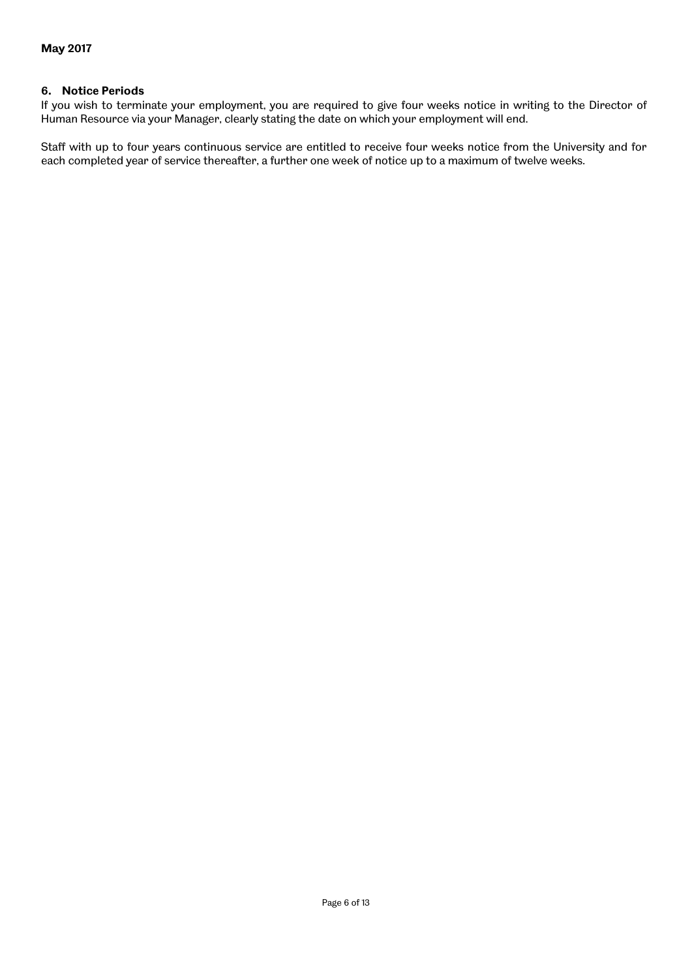## **6. Notice Periods**

If you wish to terminate your employment, you are required to give four weeks notice in writing to the Director of Human Resource via your Manager, clearly stating the date on which your employment will end.

Staff with up to four years continuous service are entitled to receive four weeks notice from the University and for each completed year of service thereafter, a further one week of notice up to a maximum of twelve weeks.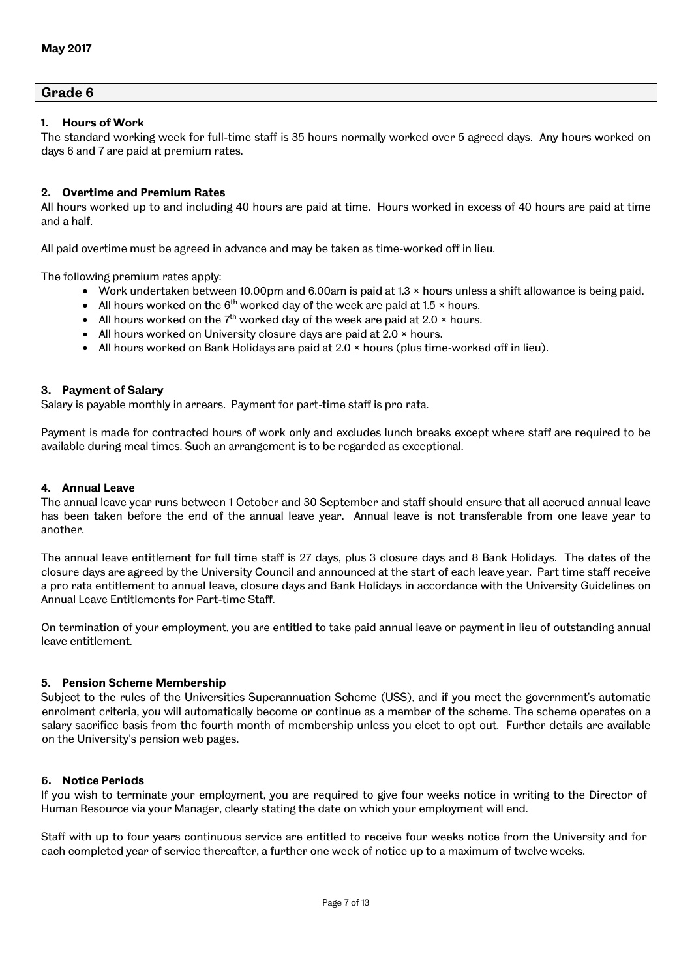## **Grade 6**

## **1. Hours of Work**

The standard working week for full-time staff is 35 hours normally worked over 5 agreed days. Any hours worked on days 6 and 7 are paid at premium rates.

## **2. Overtime and Premium Rates**

All hours worked up to and including 40 hours are paid at time. Hours worked in excess of 40 hours are paid at time and a half.

All paid overtime must be agreed in advance and may be taken as time-worked off in lieu.

The following premium rates apply:

- Work undertaken between 10.00pm and 6.00am is paid at 1.3 × hours unless a shift allowance is being paid.
- All hours worked on the  $6<sup>th</sup>$  worked day of the week are paid at 1.5  $\times$  hours.
- All hours worked on the  $7<sup>th</sup>$  worked day of the week are paid at 2.0  $\times$  hours.
- All hours worked on University closure days are paid at 2.0 x hours.
- $\bullet$  All hours worked on Bank Holidays are paid at 2.0  $\times$  hours (plus time-worked off in lieu).

#### **3. Payment of Salary**

Salary is payable monthly in arrears. Payment for part-time staff is pro rata.

Payment is made for contracted hours of work only and excludes lunch breaks except where staff are required to be available during meal times. Such an arrangement is to be regarded as exceptional.

#### **4. Annual Leave**

The annual leave year runs between 1 October and 30 September and staff should ensure that all accrued annual leave has been taken before the end of the annual leave year. Annual leave is not transferable from one leave year to another.

The annual leave entitlement for full time staff is 27 days, plus 3 closure days and 8 Bank Holidays. The dates of the closure days are agreed by the University Council and announced at the start of each leave year. Part time staff receive a pro rata entitlement to annual leave, closure days and Bank Holidays in accordance with the University Guidelines on Annual Leave Entitlements for Part-time Staff.

On termination of your employment, you are entitled to take paid annual leave or payment in lieu of outstanding annual leave entitlement.

#### **5. Pension Scheme Membership**

Subject to the rules of the Universities Superannuation Scheme (USS), and if you meet the government's automatic enrolment criteria, you will automatically become or continue as a member of the scheme. The scheme operates on a salary sacrifice basis from the fourth month of membership unless you elect to opt out. Further details are available on the University's pension web pages.

## **6. Notice Periods**

If you wish to terminate your employment, you are required to give four weeks notice in writing to the Director of Human Resource via your Manager, clearly stating the date on which your employment will end.

Staff with up to four years continuous service are entitled to receive four weeks notice from the University and for each completed year of service thereafter, a further one week of notice up to a maximum of twelve weeks.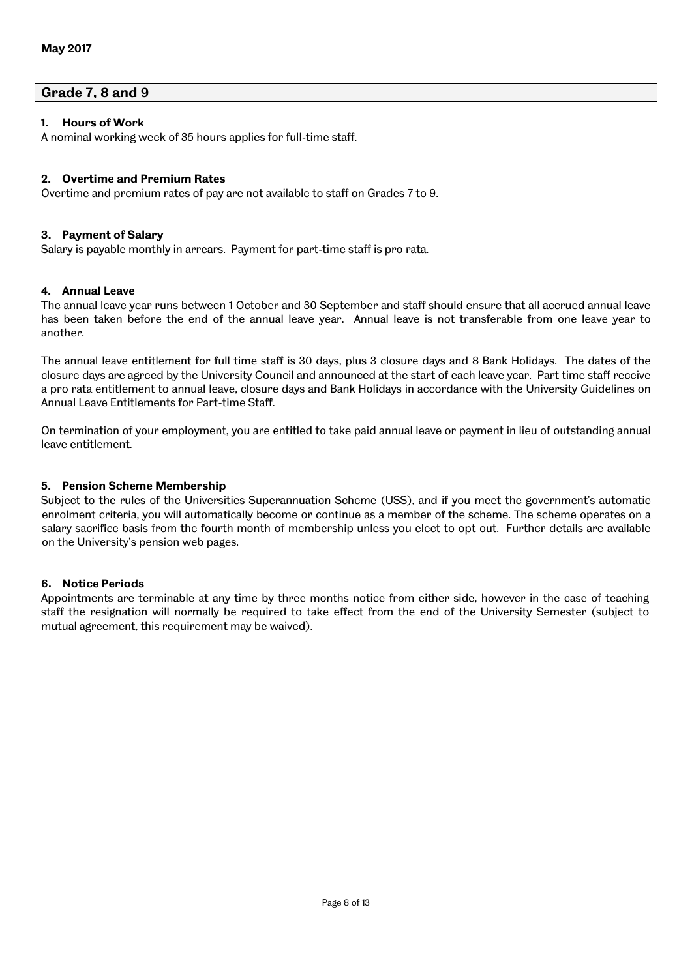## **Grade 7, 8 and 9**

## **1. Hours of Work**

A nominal working week of 35 hours applies for full-time staff.

## **2. Overtime and Premium Rates**

Overtime and premium rates of pay are not available to staff on Grades 7 to 9.

## **3. Payment of Salary**

Salary is payable monthly in arrears. Payment for part-time staff is pro rata.

## **4. Annual Leave**

The annual leave year runs between 1 October and 30 September and staff should ensure that all accrued annual leave has been taken before the end of the annual leave year. Annual leave is not transferable from one leave year to another.

The annual leave entitlement for full time staff is 30 days, plus 3 closure days and 8 Bank Holidays. The dates of the closure days are agreed by the University Council and announced at the start of each leave year. Part time staff receive a pro rata entitlement to annual leave, closure days and Bank Holidays in accordance with the University Guidelines on Annual Leave Entitlements for Part-time Staff.

On termination of your employment, you are entitled to take paid annual leave or payment in lieu of outstanding annual leave entitlement.

## **5. Pension Scheme Membership**

Subject to the rules of the Universities Superannuation Scheme (USS), and if you meet the government's automatic enrolment criteria, you will automatically become or continue as a member of the scheme. The scheme operates on a salary sacrifice basis from the fourth month of membership unless you elect to opt out. Further details are available on the University's pension web pages.

## **6. Notice Periods**

Appointments are terminable at any time by three months notice from either side, however in the case of teaching staff the resignation will normally be required to take effect from the end of the University Semester (subject to mutual agreement, this requirement may be waived).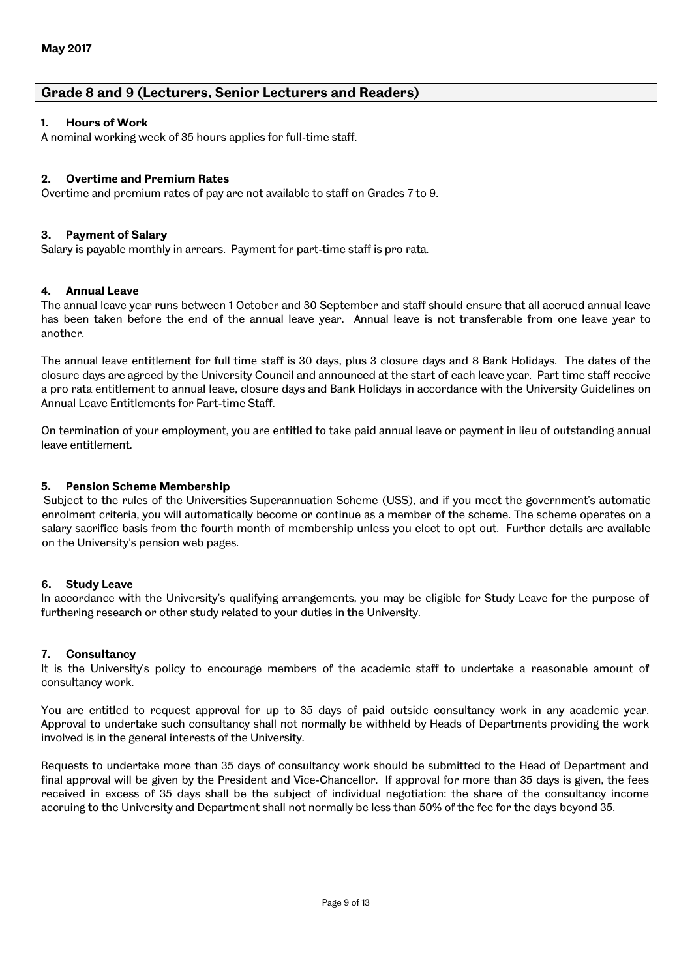## **Grade 8 and 9 (Lecturers, Senior Lecturers and Readers)**

## **1. Hours of Work**

A nominal working week of 35 hours applies for full-time staff.

## **2. Overtime and Premium Rates**

Overtime and premium rates of pay are not available to staff on Grades 7 to 9.

#### **3. Payment of Salary**

Salary is payable monthly in arrears. Payment for part-time staff is pro rata.

#### **4. Annual Leave**

The annual leave year runs between 1 October and 30 September and staff should ensure that all accrued annual leave has been taken before the end of the annual leave year. Annual leave is not transferable from one leave year to another.

The annual leave entitlement for full time staff is 30 days, plus 3 closure days and 8 Bank Holidays. The dates of the closure days are agreed by the University Council and announced at the start of each leave year. Part time staff receive a pro rata entitlement to annual leave, closure days and Bank Holidays in accordance with the University Guidelines on Annual Leave Entitlements for Part-time Staff.

On termination of your employment, you are entitled to take paid annual leave or payment in lieu of outstanding annual leave entitlement.

#### **5. Pension Scheme Membership**

 Subject to the rules of the Universities Superannuation Scheme (USS), and if you meet the government's automatic enrolment criteria, you will automatically become or continue as a member of the scheme. The scheme operates on a salary sacrifice basis from the fourth month of membership unless you elect to opt out. Further details are available on the University's pension web pages.

#### **6. Study Leave**

In accordance with the University's qualifying arrangements, you may be eligible for Study Leave for the purpose of furthering research or other study related to your duties in the University.

#### **7. Consultancy**

It is the University's policy to encourage members of the academic staff to undertake a reasonable amount of consultancy work.

You are entitled to request approval for up to 35 days of paid outside consultancy work in any academic year. Approval to undertake such consultancy shall not normally be withheld by Heads of Departments providing the work involved is in the general interests of the University.

Requests to undertake more than 35 days of consultancy work should be submitted to the Head of Department and final approval will be given by the President and Vice-Chancellor. If approval for more than 35 days is given, the fees received in excess of 35 days shall be the subject of individual negotiation: the share of the consultancy income accruing to the University and Department shall not normally be less than 50% of the fee for the days beyond 35.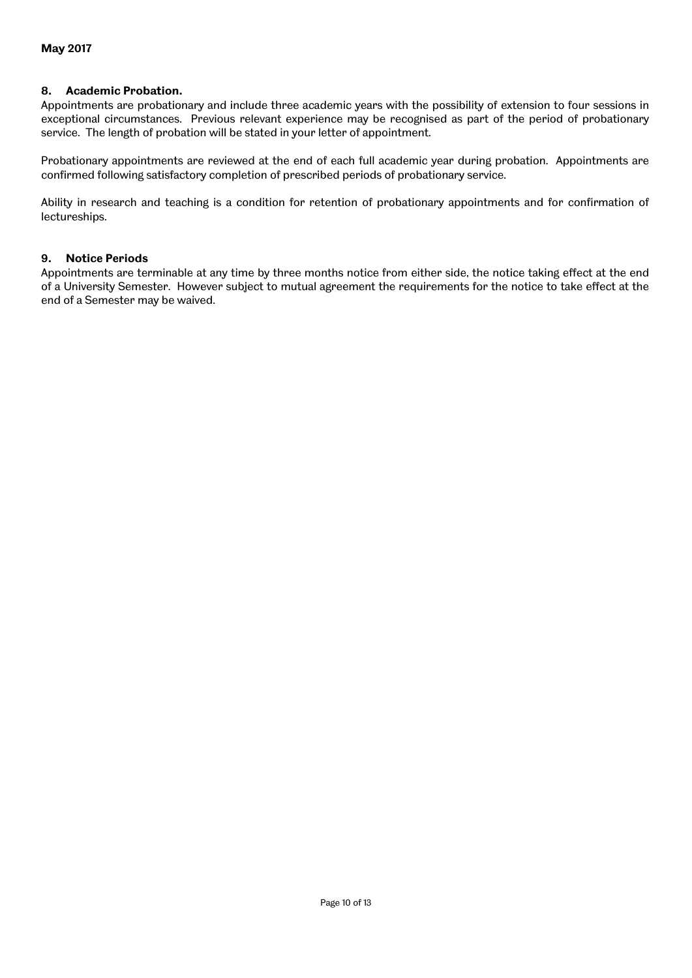## **8. Academic Probation.**

Appointments are probationary and include three academic years with the possibility of extension to four sessions in exceptional circumstances. Previous relevant experience may be recognised as part of the period of probationary service. The length of probation will be stated in your letter of appointment.

Probationary appointments are reviewed at the end of each full academic year during probation. Appointments are confirmed following satisfactory completion of prescribed periods of probationary service.

Ability in research and teaching is a condition for retention of probationary appointments and for confirmation of lectureships.

#### **9. Notice Periods**

Appointments are terminable at any time by three months notice from either side, the notice taking effect at the end of a University Semester. However subject to mutual agreement the requirements for the notice to take effect at the end of a Semester may be waived.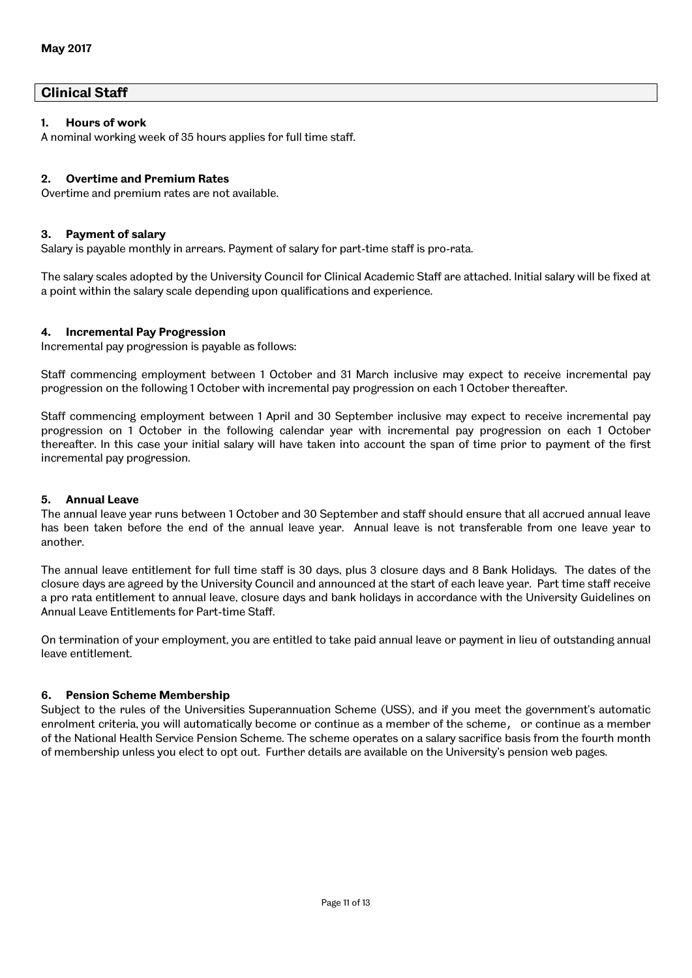```
Clinical Staff
```
## **1. Hours of work**

A nominal working week of 35 hours applies for full time staff.

## **2. Overtime and Premium Rates**

Overtime and premium rates are not available.

#### **3. Payment of salary**

Salary is payable monthly in arrears. Payment of salary for part-time staff is pro-rata.

The salary scales adopted by the University Council for Clinical Academic Staff are attached. Initial salary will be fixed at a point within the salary scale depending upon qualifications and experience.

## **4. Incremental Pay Progression**

Incremental pay progression is payable as follows:

Staff commencing employment between 1 October and 31 March inclusive may expect to receive incremental pay progression on the following 1 October with incremental pay progression on each 1 October thereafter.

Staff commencing employment between 1 April and 30 September inclusive may expect to receive incremental pay progression on 1 October in the following calendar year with incremental pay progression on each 1 October thereafter. In this case your initial salary will have taken into account the span of time prior to payment of the first incremental pay progression.

## **5. Annual Leave**

The annual leave year runs between 1 October and 30 September and staff should ensure that all accrued annual leave has been taken before the end of the annual leave year. Annual leave is not transferable from one leave year to another.

The annual leave entitlement for full time staff is 30 days, plus 3 closure days and 8 Bank Holidays. The dates of the closure days are agreed by the University Council and announced at the start of each leave year. Part time staff receive a pro rata entitlement to annual leave, closure days and bank holidays in accordance with the University Guidelines on Annual Leave Entitlements for Part-time Staff.

On termination of your employment, you are entitled to take paid annual leave or payment in lieu of outstanding annual leave entitlement.

#### **6. Pension Scheme Membership**

Subject to the rules of the Universities Superannuation Scheme (USS), and if you meet the government's automatic enrolment criteria, you will automatically become or continue as a member of the scheme, or continue as a member of the National Health Service Pension Scheme. The scheme operates on a salary sacrifice basis from the fourth month of membership unless you elect to opt out. Further details are available on the University's pension web pages.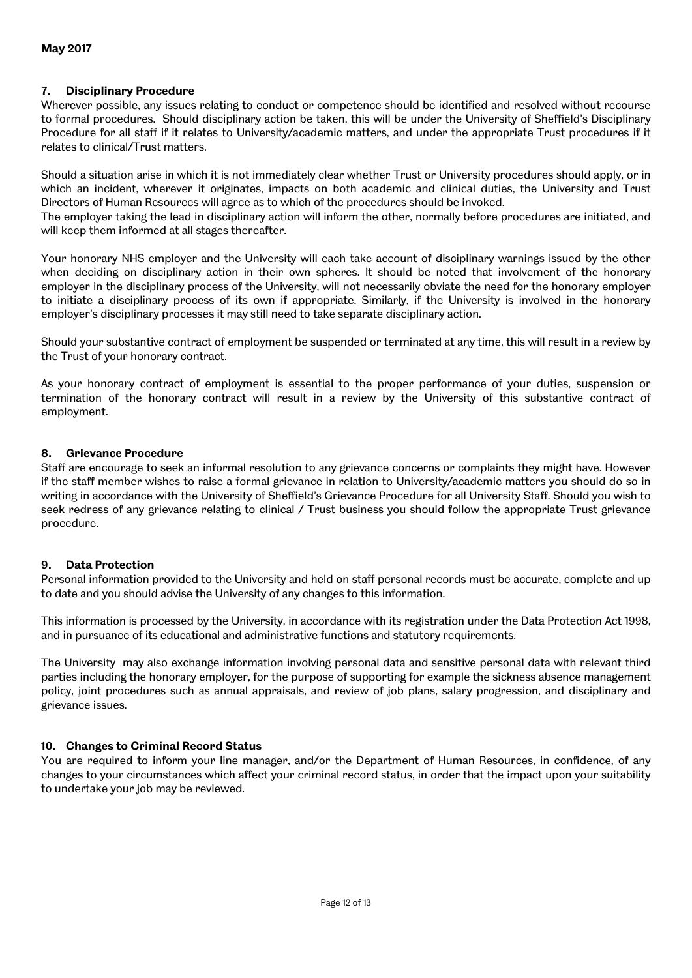## **7. Disciplinary Procedure**

Wherever possible, any issues relating to conduct or competence should be identified and resolved without recourse to formal procedures. Should disciplinary action be taken, this will be under the University of Sheffield's Disciplinary Procedure for all staff if it relates to University/academic matters, and under the appropriate Trust procedures if it relates to clinical/Trust matters.

Should a situation arise in which it is not immediately clear whether Trust or University procedures should apply, or in which an incident, wherever it originates, impacts on both academic and clinical duties, the University and Trust Directors of Human Resources will agree as to which of the procedures should be invoked.

The employer taking the lead in disciplinary action will inform the other, normally before procedures are initiated, and will keep them informed at all stages thereafter.

Your honorary NHS employer and the University will each take account of disciplinary warnings issued by the other when deciding on disciplinary action in their own spheres. It should be noted that involvement of the honorary employer in the disciplinary process of the University, will not necessarily obviate the need for the honorary employer to initiate a disciplinary process of its own if appropriate. Similarly, if the University is involved in the honorary employer's disciplinary processes it may still need to take separate disciplinary action.

Should your substantive contract of employment be suspended or terminated at any time, this will result in a review by the Trust of your honorary contract.

As your honorary contract of employment is essential to the proper performance of your duties, suspension or termination of the honorary contract will result in a review by the University of this substantive contract of employment.

## **8. Grievance Procedure**

Staff are encourage to seek an informal resolution to any grievance concerns or complaints they might have. However if the staff member wishes to raise a formal grievance in relation to University/academic matters you should do so in writing in accordance with the University of Sheffield's Grievance Procedure for all University Staff. Should you wish to seek redress of any grievance relating to clinical / Trust business you should follow the appropriate Trust grievance procedure.

#### **9. Data Protection**

Personal information provided to the University and held on staff personal records must be accurate, complete and up to date and you should advise the University of any changes to this information.

This information is processed by the University, in accordance with its registration under the Data Protection Act 1998, and in pursuance of its educational and administrative functions and statutory requirements.

The University may also exchange information involving personal data and sensitive personal data with relevant third parties including the honorary employer, for the purpose of supporting for example the sickness absence management policy, joint procedures such as annual appraisals, and review of job plans, salary progression, and disciplinary and grievance issues.

## **10. Changes to Criminal Record Status**

You are required to inform your line manager, and/or the Department of Human Resources, in confidence, of any changes to your circumstances which affect your criminal record status, in order that the impact upon your suitability to undertake your job may be reviewed.